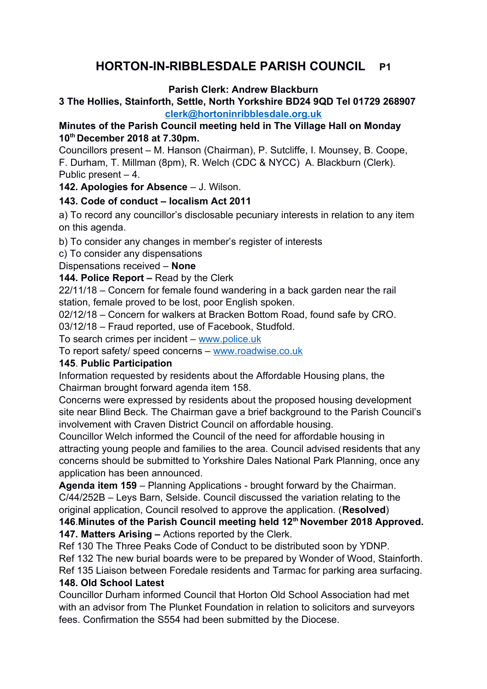# **HORTON-IN-RIBBLESDALE PARISH COUNCIL P1**

#### **Parish Clerk: Andrew Blackburn**

#### **3 The Hollies, Stainforth, Settle, North Yorkshire BD24 9QD Tel 01729 268907 [clerk@hortoninribblesdale.org.uk](mailto:clerk@hortoninribblesdale.org.uk)**

# **Minutes of the Parish Council meeting held in The Village Hall on Monday 10th December 2018 at 7.30pm.**

Councillors present – M. Hanson (Chairman), P. Sutcliffe, I. Mounsey, B. Coope, F. Durham, T. Millman (8pm), R. Welch (CDC & NYCC) A. Blackburn (Clerk). Public present – 4.

## **142. Apologies for Absence** – J. Wilson.

## **143. Code of conduct – localism Act 2011**

a) To record any councillor's disclosable pecuniary interests in relation to any item on this agenda.

b) To consider any changes in member's register of interests

c) To consider any dispensations

Dispensations received – **None** 

**144. Police Report –** Read by the Clerk

22/11/18 – Concern for female found wandering in a back garden near the rail station, female proved to be lost, poor English spoken.

02/12/18 – Concern for walkers at Bracken Bottom Road, found safe by CRO.

03/12/18 – Fraud reported, use of Facebook, Studfold.

To search crimes per incident – [www.police.uk](http://www.police.uk/)

To report safety/ speed concerns – [www.roadwise.co.uk](http://www.roadwise.co.uk/)

# **145**. **Public Participation**

Information requested by residents about the Affordable Housing plans, the Chairman brought forward agenda item 158.

Concerns were expressed by residents about the proposed housing development site near Blind Beck. The Chairman gave a brief background to the Parish Council's involvement with Craven District Council on affordable housing.

Councillor Welch informed the Council of the need for affordable housing in attracting young people and families to the area. Council advised residents that any concerns should be submitted to Yorkshire Dales National Park Planning, once any application has been announced.

**Agenda item 159** – Planning Applications - brought forward by the Chairman. C/44/252B – Leys Barn, Selside. Council discussed the variation relating to the original application, Council resolved to approve the application. (**Resolved**)

**146**.**Minutes of the Parish Council meeting held 12th November 2018 Approved. 147. Matters Arising –** Actions reported by the Clerk.

Ref 130 The Three Peaks Code of Conduct to be distributed soon by YDNP. Ref 132 The new burial boards were to be prepared by Wonder of Wood, Stainforth.

Ref 135 Liaison between Foredale residents and Tarmac for parking area surfacing. **148. Old School Latest**

Councillor Durham informed Council that Horton Old School Association had met with an advisor from The Plunket Foundation in relation to solicitors and surveyors fees. Confirmation the S554 had been submitted by the Diocese.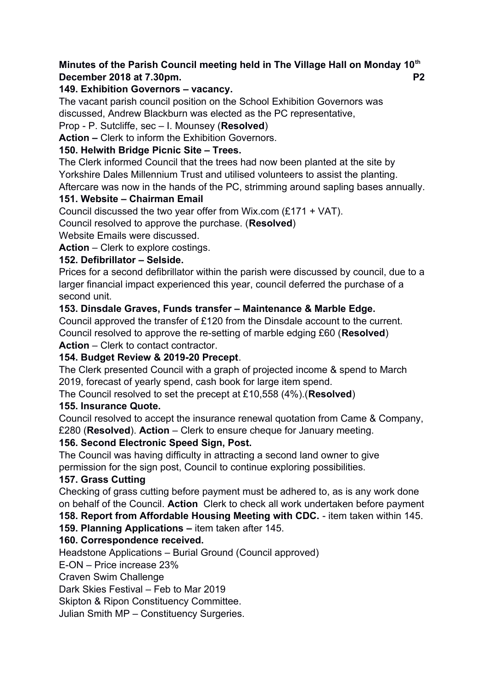## **Minutes of the Parish Council meeting held in The Village Hall on Monday 10th December 2018 at 7.30pm. P2**

#### **149. Exhibition Governors – vacancy.**

The vacant parish council position on the School Exhibition Governors was discussed, Andrew Blackburn was elected as the PC representative,

Prop - P. Sutcliffe, sec – I. Mounsey (**Resolved**)

**Action –** Clerk to inform the Exhibition Governors.

# **150. Helwith Bridge Picnic Site – Trees.**

The Clerk informed Council that the trees had now been planted at the site by Yorkshire Dales Millennium Trust and utilised volunteers to assist the planting.

Aftercare was now in the hands of the PC, strimming around sapling bases annually.

## **151. Website – Chairman Email**

Council discussed the two year offer from Wix.com (£171 + VAT).

Council resolved to approve the purchase. (**Resolved**)

Website Emails were discussed.

**Action** – Clerk to explore costings.

## **152. Defibrillator – Selside.**

Prices for a second defibrillator within the parish were discussed by council, due to a larger financial impact experienced this year, council deferred the purchase of a second unit.

## **153. Dinsdale Graves, Funds transfer – Maintenance & Marble Edge.**

Council approved the transfer of £120 from the Dinsdale account to the current. Council resolved to approve the re-setting of marble edging £60 (**Resolved**) **Action** – Clerk to contact contractor.

# **154. Budget Review & 2019-20 Precept**.

The Clerk presented Council with a graph of projected income & spend to March 2019, forecast of yearly spend, cash book for large item spend.

The Council resolved to set the precept at £10,558 (4%).(**Resolved**)

#### **155. Insurance Quote.**

Council resolved to accept the insurance renewal quotation from Came & Company, £280 (**Resolved**). **Action** – Clerk to ensure cheque for January meeting.

# **156. Second Electronic Speed Sign, Post.**

The Council was having difficulty in attracting a second land owner to give permission for the sign post, Council to continue exploring possibilities.

#### **157. Grass Cutting**

Checking of grass cutting before payment must be adhered to, as is any work done on behalf of the Council. **Action** Clerk to check all work undertaken before payment

**158. Report from Affordable Housing Meeting with CDC.** - item taken within 145.

# **159. Planning Applications –** item taken after 145.

# **160. Correspondence received.**

Headstone Applications – Burial Ground (Council approved)

E-ON – Price increase 23%

Craven Swim Challenge

Dark Skies Festival – Feb to Mar 2019

Skipton & Ripon Constituency Committee.

Julian Smith MP – Constituency Surgeries.